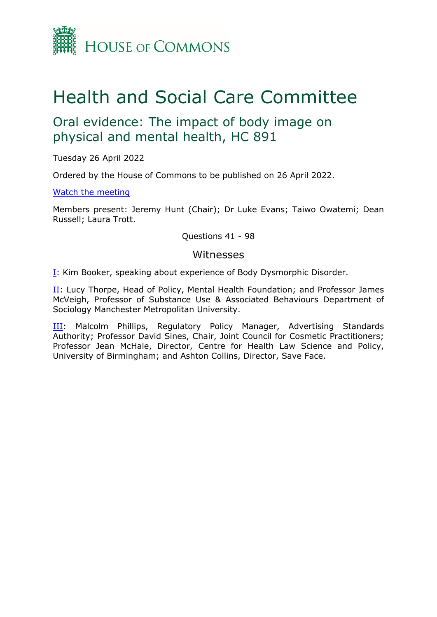

# Health and Social Care Committee

# Oral evidence: The impact of body image on physical and mental health, HC 891

Tuesday 26 April 2022

Ordered by the House of Commons to be published on 26 April 2022.

# [Watch](https://www.parliamentlive.tv/Event/Index/a72190c2-6202-4e7a-ad14-2d092bdc991e) [the](https://www.parliamentlive.tv/Event/Index/a72190c2-6202-4e7a-ad14-2d092bdc991e) [meeting](https://www.parliamentlive.tv/Event/Index/a72190c2-6202-4e7a-ad14-2d092bdc991e)

Members present: Jeremy Hunt (Chair); Dr Luke Evans; Taiwo Owatemi; Dean Russell; Laura Trott.

Questions 41 - 98

# Witnesses

[I:](#page-1-0) Kim Booker, speaking about experience of Body Dysmorphic Disorder.

[II](#page-17-0): Lucy Thorpe, Head of Policy, Mental Health Foundation; and Professor James McVeigh, Professor of Substance Use & Associated Behaviours Department of Sociology Manchester Metropolitan University.

[III:](#page-8-0) Malcolm Phillips, Regulatory Policy Manager, Advertising Standards Authority; Professor David Sines, Chair, Joint Council for Cosmetic Practitioners; Professor Jean McHale, Director, Centre for Health Law Science and Policy, University of Birmingham; and Ashton Collins, Director, Save Face.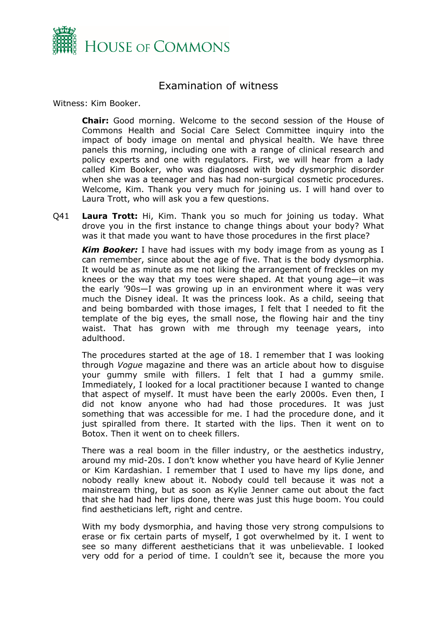

# <span id="page-1-0"></span>Examination of witness

Witness: Kim Booker.

**Chair:** Good morning. Welcome to the second session of the House of Commons Health and Social Care Select Committee inquiry into the impact of body image on mental and physical health. We have three panels this morning, including one with a range of clinical research and policy experts and one with regulators. First, we will hear from a lady called Kim Booker, who was diagnosed with body dysmorphic disorder when she was a teenager and has had non-surgical cosmetic procedures. Welcome, Kim. Thank you very much for joining us. I will hand over to Laura Trott, who will ask you a few questions.

Q41 **Laura Trott:** Hi, Kim. Thank you so much for joining us today. What drove you in the first instance to change things about your body? What was it that made you want to have those procedures in the first place?

*Kim Booker:* I have had issues with my body image from as young as I can remember, since about the age of five. That is the body dysmorphia. It would be as minute as me not liking the arrangement of freckles on my knees or the way that my toes were shaped. At that young age—it was the early '90s—I was growing up in an environment where it was very much the Disney ideal. It was the princess look. As a child, seeing that and being bombarded with those images, I felt that I needed to fit the template of the big eyes, the small nose, the flowing hair and the tiny waist. That has grown with me through my teenage years, into adulthood.

The procedures started at the age of 18. I remember that I was looking through *Vogue* magazine and there was an article about how to disguise your gummy smile with fillers. I felt that I had a gummy smile. Immediately, I looked for a local practitioner because I wanted to change that aspect of myself. It must have been the early 2000s. Even then, I did not know anyone who had had those procedures. It was just something that was accessible for me. I had the procedure done, and it just spiralled from there. It started with the lips. Then it went on to Botox. Then it went on to cheek fillers.

There was a real boom in the filler industry, or the aesthetics industry, around my mid-20s. I don't know whether you have heard of Kylie Jenner or Kim Kardashian. I remember that I used to have my lips done, and nobody really knew about it. Nobody could tell because it was not a mainstream thing, but as soon as Kylie Jenner came out about the fact that she had had her lips done, there was just this huge boom. You could find aestheticians left, right and centre.

With my body dysmorphia, and having those very strong compulsions to erase or fix certain parts of myself, I got overwhelmed by it. I went to see so many different aestheticians that it was unbelievable. I looked very odd for a period of time. I couldn't see it, because the more you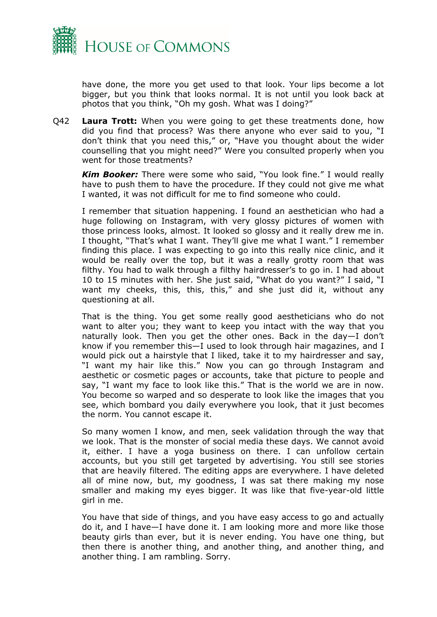

have done, the more you get used to that look. Your lips become a lot bigger, but you think that looks normal. It is not until you look back at photos that you think, "Oh my gosh. What was I doing?"

Q42 **Laura Trott:** When you were going to get these treatments done, how did you find that process? Was there anyone who ever said to you, "I don't think that you need this," or, "Have you thought about the wider counselling that you might need?" Were you consulted properly when you went for those treatments?

*Kim Booker:* There were some who said, "You look fine." I would really have to push them to have the procedure. If they could not give me what I wanted, it was not difficult for me to find someone who could.

I remember that situation happening. I found an aesthetician who had a huge following on Instagram, with very glossy pictures of women with those princess looks, almost. It looked so glossy and it really drew me in. I thought, "That's what I want. They'll give me what I want." I remember finding this place. I was expecting to go into this really nice clinic, and it would be really over the top, but it was a really grotty room that was filthy. You had to walk through a filthy hairdresser's to go in. I had about 10 to 15 minutes with her. She just said, "What do you want?" I said, "I want my cheeks, this, this, this," and she just did it, without any questioning at all.

That is the thing. You get some really good aestheticians who do not want to alter you; they want to keep you intact with the way that you naturally look. Then you get the other ones. Back in the day—I don't know if you remember this—I used to look through hair magazines, and I would pick out a hairstyle that I liked, take it to my hairdresser and say, "I want my hair like this." Now you can go through Instagram and aesthetic or cosmetic pages or accounts, take that picture to people and say, "I want my face to look like this." That is the world we are in now. You become so warped and so desperate to look like the images that you see, which bombard you daily everywhere you look, that it just becomes the norm. You cannot escape it.

So many women I know, and men, seek validation through the way that we look. That is the monster of social media these days. We cannot avoid it, either. I have a yoga business on there. I can unfollow certain accounts, but you still get targeted by advertising. You still see stories that are heavily filtered. The editing apps are everywhere. I have deleted all of mine now, but, my goodness, I was sat there making my nose smaller and making my eyes bigger. It was like that five-year-old little girl in me.

You have that side of things, and you have easy access to go and actually do it, and I have—I have done it. I am looking more and more like those beauty girls than ever, but it is never ending. You have one thing, but then there is another thing, and another thing, and another thing, and another thing. I am rambling. Sorry.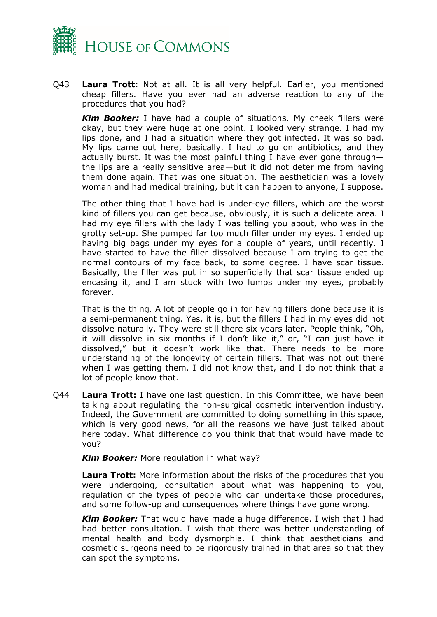

Q43 **Laura Trott:** Not at all. It is all very helpful. Earlier, you mentioned cheap fillers. Have you ever had an adverse reaction to any of the procedures that you had?

*Kim Booker:* I have had a couple of situations. My cheek fillers were okay, but they were huge at one point. I looked very strange. I had my lips done, and I had a situation where they got infected. It was so bad. My lips came out here, basically. I had to go on antibiotics, and they actually burst. It was the most painful thing I have ever gone through the lips are a really sensitive area—but it did not deter me from having them done again. That was one situation. The aesthetician was a lovely woman and had medical training, but it can happen to anyone, I suppose.

The other thing that I have had is under-eye fillers, which are the worst kind of fillers you can get because, obviously, it is such a delicate area. I had my eye fillers with the lady I was telling you about, who was in the grotty set-up. She pumped far too much filler under my eyes. I ended up having big bags under my eyes for a couple of years, until recently. I have started to have the filler dissolved because I am trying to get the normal contours of my face back, to some degree. I have scar tissue. Basically, the filler was put in so superficially that scar tissue ended up encasing it, and I am stuck with two lumps under my eyes, probably forever.

That is the thing. A lot of people go in for having fillers done because it is a semi-permanent thing. Yes, it is, but the fillers I had in my eyes did not dissolve naturally. They were still there six years later. People think, "Oh, it will dissolve in six months if I don't like it," or, "I can just have it dissolved," but it doesn't work like that. There needs to be more understanding of the longevity of certain fillers. That was not out there when I was getting them. I did not know that, and I do not think that a lot of people know that.

Q44 **Laura Trott:** I have one last question. In this Committee, we have been talking about regulating the non-surgical cosmetic intervention industry. Indeed, the Government are committed to doing something in this space, which is very good news, for all the reasons we have just talked about here today. What difference do you think that that would have made to you?

*Kim Booker:* More regulation in what way?

**Laura Trott:** More information about the risks of the procedures that you were undergoing, consultation about what was happening to you, regulation of the types of people who can undertake those procedures, and some follow-up and consequences where things have gone wrong.

*Kim Booker:* That would have made a huge difference. I wish that I had had better consultation. I wish that there was better understanding of mental health and body dysmorphia. I think that aestheticians and cosmetic surgeons need to be rigorously trained in that area so that they can spot the symptoms.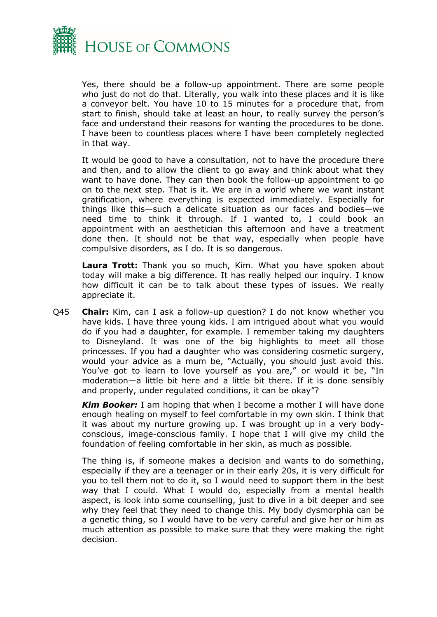

Yes, there should be a follow-up appointment. There are some people who just do not do that. Literally, you walk into these places and it is like a conveyor belt. You have 10 to 15 minutes for a procedure that, from start to finish, should take at least an hour, to really survey the person's face and understand their reasons for wanting the procedures to be done. I have been to countless places where I have been completely neglected in that way.

It would be good to have a consultation, not to have the procedure there and then, and to allow the client to go away and think about what they want to have done. They can then book the follow-up appointment to go on to the next step. That is it. We are in a world where we want instant gratification, where everything is expected immediately. Especially for things like this—such a delicate situation as our faces and bodies—we need time to think it through. If I wanted to, I could book an appointment with an aesthetician this afternoon and have a treatment done then. It should not be that way, especially when people have compulsive disorders, as I do. It is so dangerous.

**Laura Trott:** Thank you so much, Kim. What you have spoken about today will make a big difference. It has really helped our inquiry. I know how difficult it can be to talk about these types of issues. We really appreciate it.

Q45 **Chair:** Kim, can I ask a follow-up question? I do not know whether you have kids. I have three young kids. I am intrigued about what you would do if you had a daughter, for example. I remember taking my daughters to Disneyland. It was one of the big highlights to meet all those princesses. If you had a daughter who was considering cosmetic surgery, would your advice as a mum be, "Actually, you should just avoid this. You've got to learn to love yourself as you are," or would it be, "In moderation—a little bit here and a little bit there. If it is done sensibly and properly, under regulated conditions, it can be okay"?

*Kim Booker:* I am hoping that when I become a mother I will have done enough healing on myself to feel comfortable in my own skin. I think that it was about my nurture growing up. I was brought up in a very bodyconscious, image-conscious family. I hope that I will give my child the foundation of feeling comfortable in her skin, as much as possible.

The thing is, if someone makes a decision and wants to do something, especially if they are a teenager or in their early 20s, it is very difficult for you to tell them not to do it, so I would need to support them in the best way that I could. What I would do, especially from a mental health aspect, is look into some counselling, just to dive in a bit deeper and see why they feel that they need to change this. My body dysmorphia can be a genetic thing, so I would have to be very careful and give her or him as much attention as possible to make sure that they were making the right decision.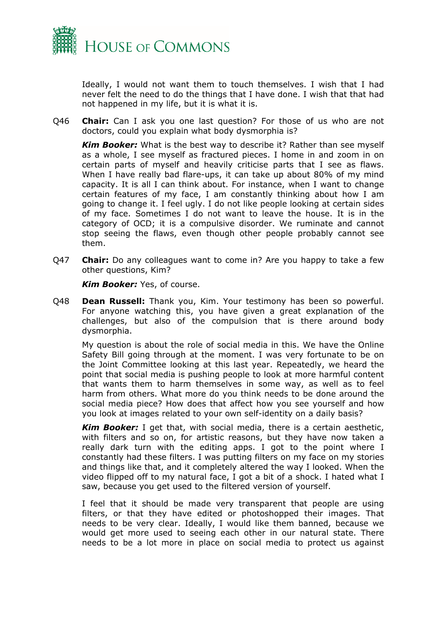

Ideally, I would not want them to touch themselves. I wish that I had never felt the need to do the things that I have done. I wish that that had not happened in my life, but it is what it is.

Q46 **Chair:** Can I ask you one last question? For those of us who are not doctors, could you explain what body dysmorphia is?

*Kim Booker:* What is the best way to describe it? Rather than see myself as a whole, I see myself as fractured pieces. I home in and zoom in on certain parts of myself and heavily criticise parts that I see as flaws. When I have really bad flare-ups, it can take up about 80% of my mind capacity. It is all I can think about. For instance, when I want to change certain features of my face, I am constantly thinking about how I am going to change it. I feel ugly. I do not like people looking at certain sides of my face. Sometimes I do not want to leave the house. It is in the category of OCD; it is a compulsive disorder. We ruminate and cannot stop seeing the flaws, even though other people probably cannot see them.

Q47 **Chair:** Do any colleagues want to come in? Are you happy to take a few other questions, Kim?

*Kim Booker:* Yes, of course.

Q48 **Dean Russell:** Thank you, Kim. Your testimony has been so powerful. For anyone watching this, you have given a great explanation of the challenges, but also of the compulsion that is there around body dysmorphia.

My question is about the role of social media in this. We have the Online Safety Bill going through at the moment. I was very fortunate to be on the Joint Committee looking at this last year. Repeatedly, we heard the point that social media is pushing people to look at more harmful content that wants them to harm themselves in some way, as well as to feel harm from others. What more do you think needs to be done around the social media piece? How does that affect how you see yourself and how you look at images related to your own self-identity on a daily basis?

*Kim Booker:* I get that, with social media, there is a certain aesthetic, with filters and so on, for artistic reasons, but they have now taken a really dark turn with the editing apps. I got to the point where I constantly had these filters. I was putting filters on my face on my stories and things like that, and it completely altered the way I looked. When the video flipped off to my natural face, I got a bit of a shock. I hated what I saw, because you get used to the filtered version of yourself.

I feel that it should be made very transparent that people are using filters, or that they have edited or photoshopped their images. That needs to be very clear. Ideally, I would like them banned, because we would get more used to seeing each other in our natural state. There needs to be a lot more in place on social media to protect us against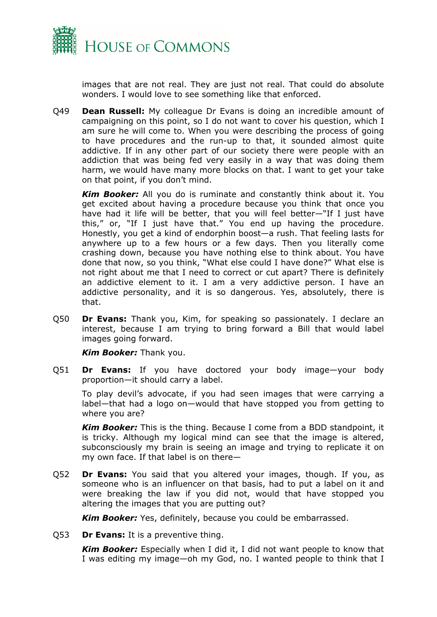

images that are not real. They are just not real. That could do absolute wonders. I would love to see something like that enforced.

Q49 **Dean Russell:** My colleague Dr Evans is doing an incredible amount of campaigning on this point, so I do not want to cover his question, which I am sure he will come to. When you were describing the process of going to have procedures and the run-up to that, it sounded almost quite addictive. If in any other part of our society there were people with an addiction that was being fed very easily in a way that was doing them harm, we would have many more blocks on that. I want to get your take on that point, if you don't mind.

*Kim Booker:* All you do is ruminate and constantly think about it. You get excited about having a procedure because you think that once you have had it life will be better, that you will feel better—"If I just have this," or, "If I just have that." You end up having the procedure. Honestly, you get a kind of endorphin boost—a rush. That feeling lasts for anywhere up to a few hours or a few days. Then you literally come crashing down, because you have nothing else to think about. You have done that now, so you think, "What else could I have done?" What else is not right about me that I need to correct or cut apart? There is definitely an addictive element to it. I am a very addictive person. I have an addictive personality, and it is so dangerous. Yes, absolutely, there is that.

Q50 **Dr Evans:** Thank you, Kim, for speaking so passionately. I declare an interest, because I am trying to bring forward a Bill that would label images going forward.

*Kim Booker:* Thank you.

Q51 **Dr Evans:** If you have doctored your body image—your body proportion—it should carry a label.

To play devil's advocate, if you had seen images that were carrying a label—that had a logo on—would that have stopped you from getting to where you are?

*Kim Booker:* This is the thing. Because I come from a BDD standpoint, it is tricky. Although my logical mind can see that the image is altered, subconsciously my brain is seeing an image and trying to replicate it on my own face. If that label is on there—

Q52 **Dr Evans:** You said that you altered your images, though. If you, as someone who is an influencer on that basis, had to put a label on it and were breaking the law if you did not, would that have stopped you altering the images that you are putting out?

*Kim Booker:* Yes, definitely, because you could be embarrassed.

Q53 **Dr Evans:** It is a preventive thing.

*Kim Booker:* Especially when I did it, I did not want people to know that I was editing my image—oh my God, no. I wanted people to think that I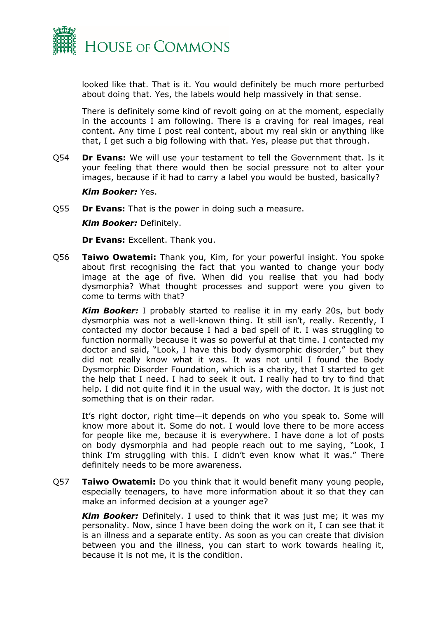

looked like that. That is it. You would definitely be much more perturbed about doing that. Yes, the labels would help massively in that sense.

There is definitely some kind of revolt going on at the moment, especially in the accounts I am following. There is a craving for real images, real content. Any time I post real content, about my real skin or anything like that, I get such a big following with that. Yes, please put that through.

Q54 **Dr Evans:** We will use your testament to tell the Government that. Is it your feeling that there would then be social pressure not to alter your images, because if it had to carry a label you would be busted, basically?

#### *Kim Booker:* Yes.

Q55 **Dr Evans:** That is the power in doing such a measure.

#### *Kim Booker:* Definitely.

**Dr Evans:** Excellent. Thank you.

Q56 **Taiwo Owatemi:** Thank you, Kim, for your powerful insight. You spoke about first recognising the fact that you wanted to change your body image at the age of five. When did you realise that you had body dysmorphia? What thought processes and support were you given to come to terms with that?

*Kim Booker:* I probably started to realise it in my early 20s, but body dysmorphia was not a well-known thing. It still isn't, really. Recently, I contacted my doctor because I had a bad spell of it. I was struggling to function normally because it was so powerful at that time. I contacted my doctor and said, "Look, I have this body dysmorphic disorder," but they did not really know what it was. It was not until I found the Body Dysmorphic Disorder Foundation, which is a charity, that I started to get the help that I need. I had to seek it out. I really had to try to find that help. I did not quite find it in the usual way, with the doctor. It is just not something that is on their radar.

It's right doctor, right time—it depends on who you speak to. Some will know more about it. Some do not. I would love there to be more access for people like me, because it is everywhere. I have done a lot of posts on body dysmorphia and had people reach out to me saying, "Look, I think I'm struggling with this. I didn't even know what it was." There definitely needs to be more awareness.

Q57 **Taiwo Owatemi:** Do you think that it would benefit many young people, especially teenagers, to have more information about it so that they can make an informed decision at a younger age?

*Kim Booker:* Definitely. I used to think that it was just me; it was my personality. Now, since I have been doing the work on it, I can see that it is an illness and a separate entity. As soon as you can create that division between you and the illness, you can start to work towards healing it, because it is not me, it is the condition.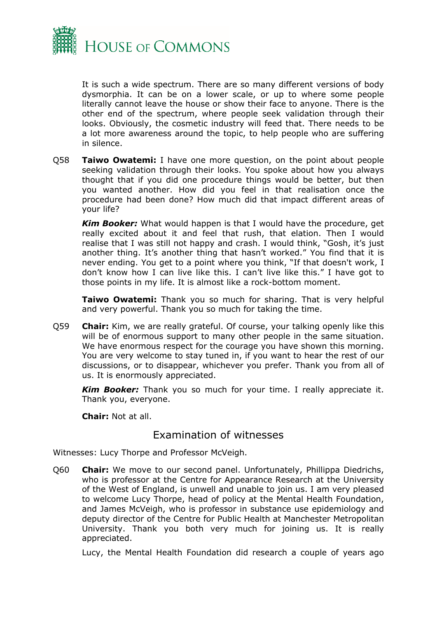

It is such a wide spectrum. There are so many different versions of body dysmorphia. It can be on a lower scale, or up to where some people literally cannot leave the house or show their face to anyone. There is the other end of the spectrum, where people seek validation through their looks. Obviously, the cosmetic industry will feed that. There needs to be a lot more awareness around the topic, to help people who are suffering in silence.

Q58 **Taiwo Owatemi:** I have one more question, on the point about people seeking validation through their looks. You spoke about how you always thought that if you did one procedure things would be better, but then you wanted another. How did you feel in that realisation once the procedure had been done? How much did that impact different areas of your life?

*Kim Booker:* What would happen is that I would have the procedure, get really excited about it and feel that rush, that elation. Then I would realise that I was still not happy and crash. I would think, "Gosh, it's just another thing. It's another thing that hasn't worked." You find that it is never ending. You get to a point where you think, "If that doesn't work, I don't know how I can live like this. I can't live like this." I have got to those points in my life. It is almost like a rock-bottom moment.

**Taiwo Owatemi:** Thank you so much for sharing. That is very helpful and very powerful. Thank you so much for taking the time.

Q59 **Chair:** Kim, we are really grateful. Of course, your talking openly like this will be of enormous support to many other people in the same situation. We have enormous respect for the courage you have shown this morning. You are very welcome to stay tuned in, if you want to hear the rest of our discussions, or to disappear, whichever you prefer. Thank you from all of us. It is enormously appreciated.

*Kim Booker:* Thank you so much for your time. I really appreciate it. Thank you, everyone.

**Chair:** Not at all.

# <span id="page-8-0"></span>Examination of witnesses

Witnesses: Lucy Thorpe and Professor McVeigh.

Q60 **Chair:** We move to our second panel. Unfortunately, Phillippa Diedrichs, who is professor at the Centre for Appearance Research at the University of the West of England, is unwell and unable to join us. I am very pleased to welcome Lucy Thorpe, head of policy at the Mental Health Foundation, and James McVeigh, who is professor in substance use epidemiology and deputy director of the Centre for Public Health at Manchester Metropolitan University. Thank you both very much for joining us. It is really appreciated.

Lucy, the Mental Health Foundation did research a couple of years ago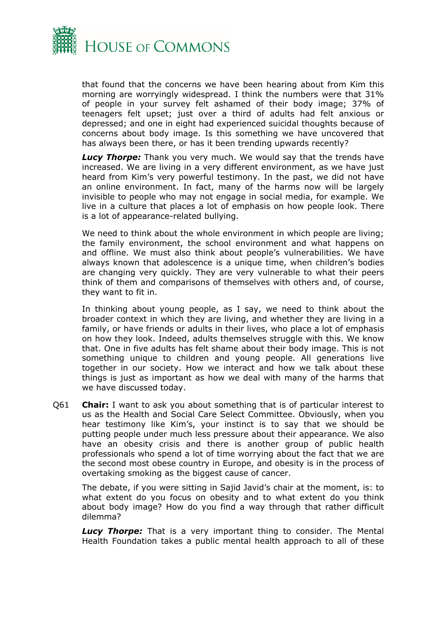

that found that the concerns we have been hearing about from Kim this morning are worryingly widespread. I think the numbers were that 31% of people in your survey felt ashamed of their body image; 37% of teenagers felt upset; just over a third of adults had felt anxious or depressed; and one in eight had experienced suicidal thoughts because of concerns about body image. Is this something we have uncovered that has always been there, or has it been trending upwards recently?

*Lucy Thorpe:* Thank you very much. We would say that the trends have increased. We are living in a very different environment, as we have just heard from Kim's very powerful testimony. In the past, we did not have an online environment. In fact, many of the harms now will be largely invisible to people who may not engage in social media, for example. We live in a culture that places a lot of emphasis on how people look. There is a lot of appearance-related bullying.

We need to think about the whole environment in which people are living; the family environment, the school environment and what happens on and offline. We must also think about people's vulnerabilities. We have always known that adolescence is a unique time, when children's bodies are changing very quickly. They are very vulnerable to what their peers think of them and comparisons of themselves with others and, of course, they want to fit in.

In thinking about young people, as I say, we need to think about the broader context in which they are living, and whether they are living in a family, or have friends or adults in their lives, who place a lot of emphasis on how they look. Indeed, adults themselves struggle with this. We know that. One in five adults has felt shame about their body image. This is not something unique to children and young people. All generations live together in our society. How we interact and how we talk about these things is just as important as how we deal with many of the harms that we have discussed today.

Q61 **Chair:** I want to ask you about something that is of particular interest to us as the Health and Social Care Select Committee. Obviously, when you hear testimony like Kim's, your instinct is to say that we should be putting people under much less pressure about their appearance. We also have an obesity crisis and there is another group of public health professionals who spend a lot of time worrying about the fact that we are the second most obese country in Europe, and obesity is in the process of overtaking smoking as the biggest cause of cancer.

The debate, if you were sitting in Sajid Javid's chair at the moment, is: to what extent do you focus on obesity and to what extent do you think about body image? How do you find a way through that rather difficult dilemma?

*Lucy Thorpe:* That is a very important thing to consider. The Mental Health Foundation takes a public mental health approach to all of these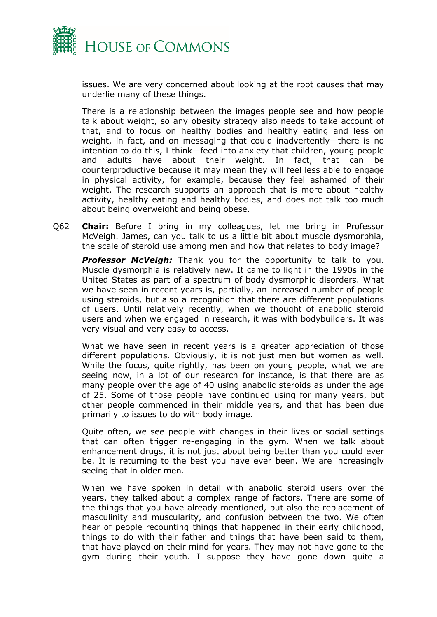

issues. We are very concerned about looking at the root causes that may underlie many of these things.

There is a relationship between the images people see and how people talk about weight, so any obesity strategy also needs to take account of that, and to focus on healthy bodies and healthy eating and less on weight, in fact, and on messaging that could inadvertently—there is no intention to do this, I think—feed into anxiety that children, young people and adults have about their weight. In fact, that can be counterproductive because it may mean they will feel less able to engage in physical activity, for example, because they feel ashamed of their weight. The research supports an approach that is more about healthy activity, healthy eating and healthy bodies, and does not talk too much about being overweight and being obese.

Q62 **Chair:** Before I bring in my colleagues, let me bring in Professor McVeigh. James, can you talk to us a little bit about muscle dysmorphia, the scale of steroid use among men and how that relates to body image?

*Professor McVeigh:* Thank you for the opportunity to talk to you. Muscle dysmorphia is relatively new. It came to light in the 1990s in the United States as part of a spectrum of body dysmorphic disorders. What we have seen in recent years is, partially, an increased number of people using steroids, but also a recognition that there are different populations of users. Until relatively recently, when we thought of anabolic steroid users and when we engaged in research, it was with bodybuilders. It was very visual and very easy to access.

What we have seen in recent years is a greater appreciation of those different populations. Obviously, it is not just men but women as well. While the focus, quite rightly, has been on young people, what we are seeing now, in a lot of our research for instance, is that there are as many people over the age of 40 using anabolic steroids as under the age of 25. Some of those people have continued using for many years, but other people commenced in their middle years, and that has been due primarily to issues to do with body image.

Quite often, we see people with changes in their lives or social settings that can often trigger re-engaging in the gym. When we talk about enhancement drugs, it is not just about being better than you could ever be. It is returning to the best you have ever been. We are increasingly seeing that in older men.

When we have spoken in detail with anabolic steroid users over the years, they talked about a complex range of factors. There are some of the things that you have already mentioned, but also the replacement of masculinity and muscularity, and confusion between the two. We often hear of people recounting things that happened in their early childhood, things to do with their father and things that have been said to them, that have played on their mind for years. They may not have gone to the gym during their youth. I suppose they have gone down quite a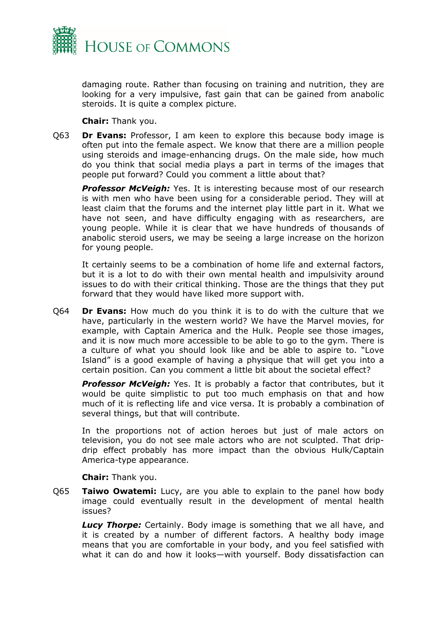

damaging route. Rather than focusing on training and nutrition, they are looking for a very impulsive, fast gain that can be gained from anabolic steroids. It is quite a complex picture.

**Chair:** Thank you.

Q63 **Dr Evans:** Professor, I am keen to explore this because body image is often put into the female aspect. We know that there are a million people using steroids and image-enhancing drugs. On the male side, how much do you think that social media plays a part in terms of the images that people put forward? Could you comment a little about that?

**Professor McVeigh:** Yes. It is interesting because most of our research is with men who have been using for a considerable period. They will at least claim that the forums and the internet play little part in it. What we have not seen, and have difficulty engaging with as researchers, are young people. While it is clear that we have hundreds of thousands of anabolic steroid users, we may be seeing a large increase on the horizon for young people.

It certainly seems to be a combination of home life and external factors, but it is a lot to do with their own mental health and impulsivity around issues to do with their critical thinking. Those are the things that they put forward that they would have liked more support with.

Q64 **Dr Evans:** How much do you think it is to do with the culture that we have, particularly in the western world? We have the Marvel movies, for example, with Captain America and the Hulk. People see those images, and it is now much more accessible to be able to go to the gym. There is a culture of what you should look like and be able to aspire to. "Love Island" is a good example of having a physique that will get you into a certain position. Can you comment a little bit about the societal effect?

*Professor McVeigh:* Yes. It is probably a factor that contributes, but it would be quite simplistic to put too much emphasis on that and how much of it is reflecting life and vice versa. It is probably a combination of several things, but that will contribute.

In the proportions not of action heroes but just of male actors on television, you do not see male actors who are not sculpted. That dripdrip effect probably has more impact than the obvious Hulk/Captain America-type appearance.

**Chair:** Thank you.

Q65 **Taiwo Owatemi:** Lucy, are you able to explain to the panel how body image could eventually result in the development of mental health issues?

*Lucy Thorpe:* Certainly. Body image is something that we all have, and it is created by a number of different factors. A healthy body image means that you are comfortable in your body, and you feel satisfied with what it can do and how it looks—with yourself. Body dissatisfaction can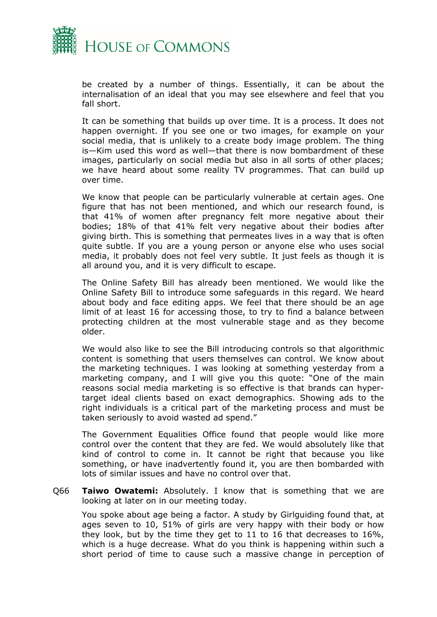

be created by a number of things. Essentially, it can be about the internalisation of an ideal that you may see elsewhere and feel that you fall short.

It can be something that builds up over time. It is a process. It does not happen overnight. If you see one or two images, for example on your social media, that is unlikely to a create body image problem. The thing is—Kim used this word as well—that there is now bombardment of these images, particularly on social media but also in all sorts of other places; we have heard about some reality TV programmes. That can build up over time.

We know that people can be particularly vulnerable at certain ages. One figure that has not been mentioned, and which our research found, is that 41% of women after pregnancy felt more negative about their bodies; 18% of that 41% felt very negative about their bodies after giving birth. This is something that permeates lives in a way that is often quite subtle. If you are a young person or anyone else who uses social media, it probably does not feel very subtle. It just feels as though it is all around you, and it is very difficult to escape.

The Online Safety Bill has already been mentioned. We would like the Online Safety Bill to introduce some safeguards in this regard. We heard about body and face editing apps. We feel that there should be an age limit of at least 16 for accessing those, to try to find a balance between protecting children at the most vulnerable stage and as they become older.

We would also like to see the Bill introducing controls so that algorithmic content is something that users themselves can control. We know about the marketing techniques. I was looking at something yesterday from a marketing company, and I will give you this quote: "One of the main reasons social media marketing is so effective is that brands can hypertarget ideal clients based on exact demographics. Showing ads to the right individuals is a critical part of the marketing process and must be taken seriously to avoid wasted ad spend."

The Government Equalities Office found that people would like more control over the content that they are fed. We would absolutely like that kind of control to come in. It cannot be right that because you like something, or have inadvertently found it, you are then bombarded with lots of similar issues and have no control over that.

Q66 **Taiwo Owatemi:** Absolutely. I know that is something that we are looking at later on in our meeting today.

You spoke about age being a factor. A study by Girlguiding found that, at ages seven to 10, 51% of girls are very happy with their body or how they look, but by the time they get to 11 to 16 that decreases to 16%, which is a huge decrease. What do you think is happening within such a short period of time to cause such a massive change in perception of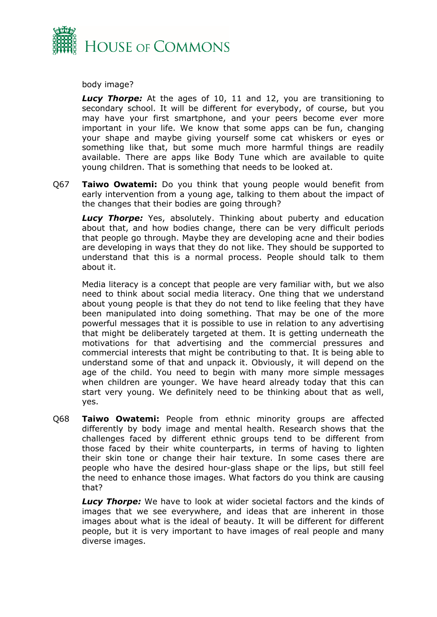

body image?

*Lucy Thorpe:* At the ages of 10, 11 and 12, you are transitioning to secondary school. It will be different for everybody, of course, but you may have your first smartphone, and your peers become ever more important in your life. We know that some apps can be fun, changing your shape and maybe giving yourself some cat whiskers or eyes or something like that, but some much more harmful things are readily available. There are apps like Body Tune which are available to quite young children. That is something that needs to be looked at.

Q67 **Taiwo Owatemi:** Do you think that young people would benefit from early intervention from a young age, talking to them about the impact of the changes that their bodies are going through?

*Lucy Thorpe:* Yes, absolutely. Thinking about puberty and education about that, and how bodies change, there can be very difficult periods that people go through. Maybe they are developing acne and their bodies are developing in ways that they do not like. They should be supported to understand that this is a normal process. People should talk to them about it.

Media literacy is a concept that people are very familiar with, but we also need to think about social media literacy. One thing that we understand about young people is that they do not tend to like feeling that they have been manipulated into doing something. That may be one of the more powerful messages that it is possible to use in relation to any advertising that might be deliberately targeted at them. It is getting underneath the motivations for that advertising and the commercial pressures and commercial interests that might be contributing to that. It is being able to understand some of that and unpack it. Obviously, it will depend on the age of the child. You need to begin with many more simple messages when children are younger. We have heard already today that this can start very young. We definitely need to be thinking about that as well, yes.

Q68 **Taiwo Owatemi:** People from ethnic minority groups are affected differently by body image and mental health. Research shows that the challenges faced by different ethnic groups tend to be different from those faced by their white counterparts, in terms of having to lighten their skin tone or change their hair texture. In some cases there are people who have the desired hour-glass shape or the lips, but still feel the need to enhance those images. What factors do you think are causing that?

*Lucy Thorpe:* We have to look at wider societal factors and the kinds of images that we see everywhere, and ideas that are inherent in those images about what is the ideal of beauty. It will be different for different people, but it is very important to have images of real people and many diverse images.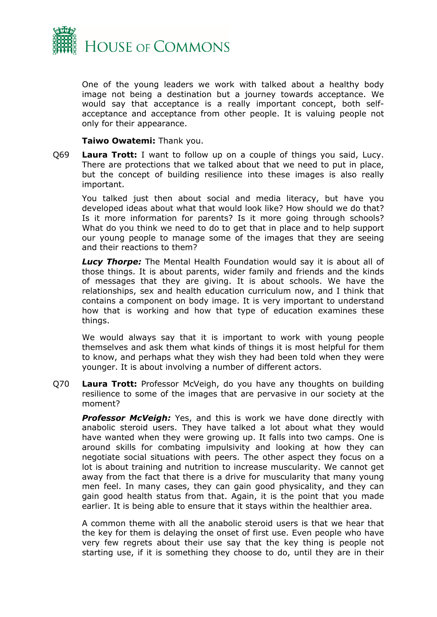

One of the young leaders we work with talked about a healthy body image not being a destination but a journey towards acceptance. We would say that acceptance is a really important concept, both selfacceptance and acceptance from other people. It is valuing people not only for their appearance.

**Taiwo Owatemi:** Thank you.

Q69 **Laura Trott:** I want to follow up on a couple of things you said, Lucy. There are protections that we talked about that we need to put in place, but the concept of building resilience into these images is also really important.

You talked just then about social and media literacy, but have you developed ideas about what that would look like? How should we do that? Is it more information for parents? Is it more going through schools? What do you think we need to do to get that in place and to help support our young people to manage some of the images that they are seeing and their reactions to them?

*Lucy Thorpe:* The Mental Health Foundation would say it is about all of those things. It is about parents, wider family and friends and the kinds of messages that they are giving. It is about schools. We have the relationships, sex and health education curriculum now, and I think that contains a component on body image. It is very important to understand how that is working and how that type of education examines these things.

We would always say that it is important to work with young people themselves and ask them what kinds of things it is most helpful for them to know, and perhaps what they wish they had been told when they were younger. It is about involving a number of different actors.

Q70 **Laura Trott:** Professor McVeigh, do you have any thoughts on building resilience to some of the images that are pervasive in our society at the moment?

**Professor McVeigh:** Yes, and this is work we have done directly with anabolic steroid users. They have talked a lot about what they would have wanted when they were growing up. It falls into two camps. One is around skills for combating impulsivity and looking at how they can negotiate social situations with peers. The other aspect they focus on a lot is about training and nutrition to increase muscularity. We cannot get away from the fact that there is a drive for muscularity that many young men feel. In many cases, they can gain good physicality, and they can gain good health status from that. Again, it is the point that you made earlier. It is being able to ensure that it stays within the healthier area.

A common theme with all the anabolic steroid users is that we hear that the key for them is delaying the onset of first use. Even people who have very few regrets about their use say that the key thing is people not starting use, if it is something they choose to do, until they are in their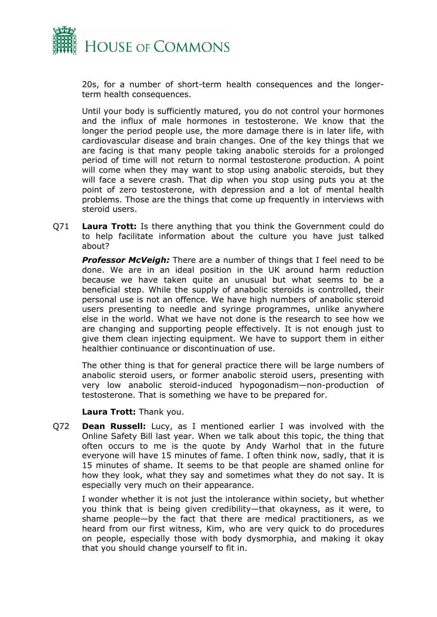

20s, for a number of short-term health consequences and the longerterm health consequences.

Until your body is sufficiently matured, you do not control your hormones and the influx of male hormones in testosterone. We know that the longer the period people use, the more damage there is in later life, with cardiovascular disease and brain changes. One of the key things that we are facing is that many people taking anabolic steroids for a prolonged period of time will not return to normal testosterone production. A point will come when they may want to stop using anabolic steroids, but they will face a severe crash. That dip when you stop using puts you at the point of zero testosterone, with depression and a lot of mental health problems. Those are the things that come up frequently in interviews with steroid users.

Q71 **Laura Trott:** Is there anything that you think the Government could do to help facilitate information about the culture you have just talked about?

*Professor McVeigh:* There are a number of things that I feel need to be done. We are in an ideal position in the UK around harm reduction because we have taken quite an unusual but what seems to be a beneficial step. While the supply of anabolic steroids is controlled, their personal use is not an offence. We have high numbers of anabolic steroid users presenting to needle and syringe programmes, unlike anywhere else in the world. What we have not done is the research to see how we are changing and supporting people effectively. It is not enough just to give them clean injecting equipment. We have to support them in either healthier continuance or discontinuation of use.

The other thing is that for general practice there will be large numbers of anabolic steroid users, or former anabolic steroid users, presenting with very low anabolic steroid-induced hypogonadism—non-production of testosterone. That is something we have to be prepared for.

#### **Laura Trott:** Thank you.

Q72 **Dean Russell:** Lucy, as I mentioned earlier I was involved with the Online Safety Bill last year. When we talk about this topic, the thing that often occurs to me is the quote by Andy Warhol that in the future everyone will have 15 minutes of fame. I often think now, sadly, that it is 15 minutes of shame. It seems to be that people are shamed online for how they look, what they say and sometimes what they do not say. It is especially very much on their appearance.

I wonder whether it is not just the intolerance within society, but whether you think that is being given credibility—that okayness, as it were, to shame people—by the fact that there are medical practitioners, as we heard from our first witness, Kim, who are very quick to do procedures on people, especially those with body dysmorphia, and making it okay that you should change yourself to fit in.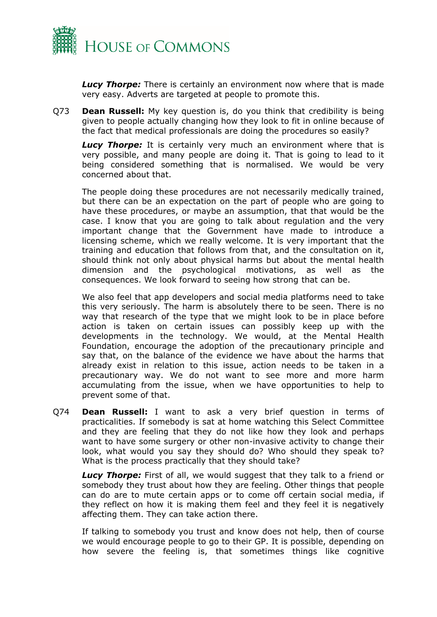

*Lucy Thorpe:* There is certainly an environment now where that is made very easy. Adverts are targeted at people to promote this.

Q73 **Dean Russell:** My key question is, do you think that credibility is being given to people actually changing how they look to fit in online because of the fact that medical professionals are doing the procedures so easily?

**Lucy Thorpe:** It is certainly very much an environment where that is very possible, and many people are doing it. That is going to lead to it being considered something that is normalised. We would be very concerned about that.

The people doing these procedures are not necessarily medically trained, but there can be an expectation on the part of people who are going to have these procedures, or maybe an assumption, that that would be the case. I know that you are going to talk about regulation and the very important change that the Government have made to introduce a licensing scheme, which we really welcome. It is very important that the training and education that follows from that, and the consultation on it, should think not only about physical harms but about the mental health dimension and the psychological motivations, as well as the consequences. We look forward to seeing how strong that can be.

We also feel that app developers and social media platforms need to take this very seriously. The harm is absolutely there to be seen. There is no way that research of the type that we might look to be in place before action is taken on certain issues can possibly keep up with the developments in the technology. We would, at the Mental Health Foundation, encourage the adoption of the precautionary principle and say that, on the balance of the evidence we have about the harms that already exist in relation to this issue, action needs to be taken in a precautionary way. We do not want to see more and more harm accumulating from the issue, when we have opportunities to help to prevent some of that.

Q74 **Dean Russell:** I want to ask a very brief question in terms of practicalities. If somebody is sat at home watching this Select Committee and they are feeling that they do not like how they look and perhaps want to have some surgery or other non-invasive activity to change their look, what would you say they should do? Who should they speak to? What is the process practically that they should take?

**Lucy Thorpe:** First of all, we would suggest that they talk to a friend or somebody they trust about how they are feeling. Other things that people can do are to mute certain apps or to come off certain social media, if they reflect on how it is making them feel and they feel it is negatively affecting them. They can take action there.

If talking to somebody you trust and know does not help, then of course we would encourage people to go to their GP. It is possible, depending on how severe the feeling is, that sometimes things like cognitive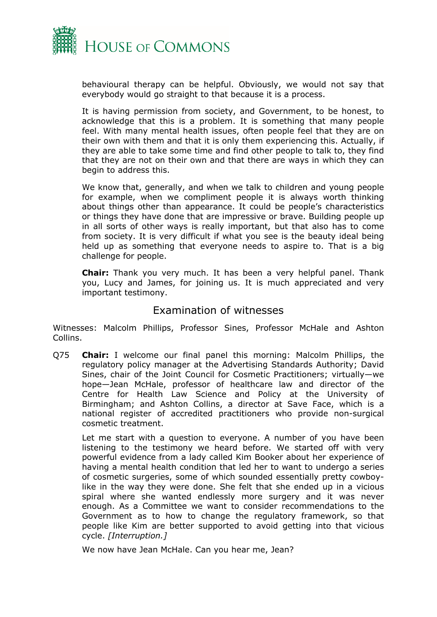

behavioural therapy can be helpful. Obviously, we would not say that everybody would go straight to that because it is a process.

It is having permission from society, and Government, to be honest, to acknowledge that this is a problem. It is something that many people feel. With many mental health issues, often people feel that they are on their own with them and that it is only them experiencing this. Actually, if they are able to take some time and find other people to talk to, they find that they are not on their own and that there are ways in which they can begin to address this.

We know that, generally, and when we talk to children and young people for example, when we compliment people it is always worth thinking about things other than appearance. It could be people's characteristics or things they have done that are impressive or brave. Building people up in all sorts of other ways is really important, but that also has to come from society. It is very difficult if what you see is the beauty ideal being held up as something that everyone needs to aspire to. That is a big challenge for people.

**Chair:** Thank you very much. It has been a very helpful panel. Thank you, Lucy and James, for joining us. It is much appreciated and very important testimony.

# <span id="page-17-0"></span>Examination of witnesses

Witnesses: Malcolm Phillips, Professor Sines, Professor McHale and Ashton Collins.

Q75 **Chair:** I welcome our final panel this morning: Malcolm Phillips, the regulatory policy manager at the Advertising Standards Authority; David Sines, chair of the Joint Council for Cosmetic Practitioners; virtually—we hope—Jean McHale, professor of healthcare law and director of the Centre for Health Law Science and Policy at the University of Birmingham; and Ashton Collins, a director at Save Face, which is a national register of accredited practitioners who provide non-surgical cosmetic treatment.

Let me start with a question to everyone. A number of you have been listening to the testimony we heard before. We started off with very powerful evidence from a lady called Kim Booker about her experience of having a mental health condition that led her to want to undergo a series of cosmetic surgeries, some of which sounded essentially pretty cowboylike in the way they were done. She felt that she ended up in a vicious spiral where she wanted endlessly more surgery and it was never enough. As a Committee we want to consider recommendations to the Government as to how to change the regulatory framework, so that people like Kim are better supported to avoid getting into that vicious cycle. *[Interruption.]*

We now have Jean McHale. Can you hear me, Jean?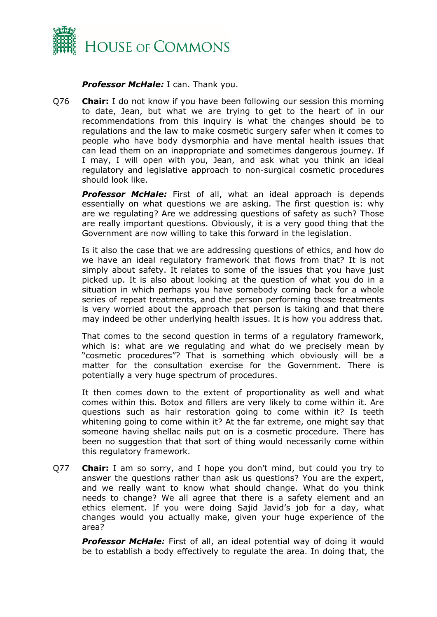

#### *Professor McHale:* I can. Thank you.

Q76 **Chair:** I do not know if you have been following our session this morning to date, Jean, but what we are trying to get to the heart of in our recommendations from this inquiry is what the changes should be to regulations and the law to make cosmetic surgery safer when it comes to people who have body dysmorphia and have mental health issues that can lead them on an inappropriate and sometimes dangerous journey. If I may, I will open with you, Jean, and ask what you think an ideal regulatory and legislative approach to non-surgical cosmetic procedures should look like.

*Professor McHale:* First of all, what an ideal approach is depends essentially on what questions we are asking. The first question is: why are we regulating? Are we addressing questions of safety as such? Those are really important questions. Obviously, it is a very good thing that the Government are now willing to take this forward in the legislation.

Is it also the case that we are addressing questions of ethics, and how do we have an ideal regulatory framework that flows from that? It is not simply about safety. It relates to some of the issues that you have just picked up. It is also about looking at the question of what you do in a situation in which perhaps you have somebody coming back for a whole series of repeat treatments, and the person performing those treatments is very worried about the approach that person is taking and that there may indeed be other underlying health issues. It is how you address that.

That comes to the second question in terms of a regulatory framework, which is: what are we regulating and what do we precisely mean by "cosmetic procedures"? That is something which obviously will be a matter for the consultation exercise for the Government. There is potentially a very huge spectrum of procedures.

It then comes down to the extent of proportionality as well and what comes within this. Botox and fillers are very likely to come within it. Are questions such as hair restoration going to come within it? Is teeth whitening going to come within it? At the far extreme, one might say that someone having shellac nails put on is a cosmetic procedure. There has been no suggestion that that sort of thing would necessarily come within this regulatory framework.

Q77 **Chair:** I am so sorry, and I hope you don't mind, but could you try to answer the questions rather than ask us questions? You are the expert, and we really want to know what should change. What do you think needs to change? We all agree that there is a safety element and an ethics element. If you were doing Sajid Javid's job for a day, what changes would you actually make, given your huge experience of the area?

**Professor McHale:** First of all, an ideal potential way of doing it would be to establish a body effectively to regulate the area. In doing that, the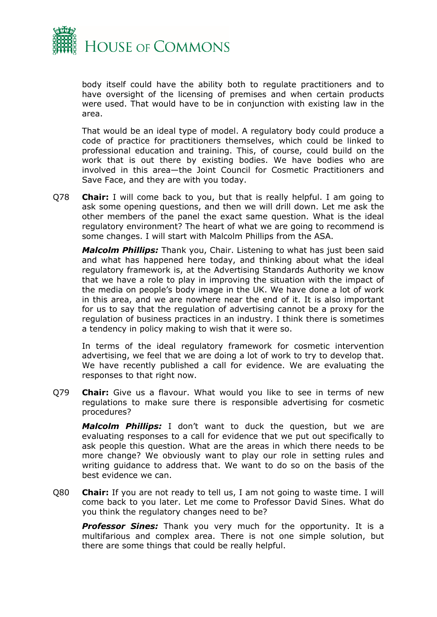

body itself could have the ability both to regulate practitioners and to have oversight of the licensing of premises and when certain products were used. That would have to be in conjunction with existing law in the area.

That would be an ideal type of model. A regulatory body could produce a code of practice for practitioners themselves, which could be linked to professional education and training. This, of course, could build on the work that is out there by existing bodies. We have bodies who are involved in this area—the Joint Council for Cosmetic Practitioners and Save Face, and they are with you today.

Q78 **Chair:** I will come back to you, but that is really helpful. I am going to ask some opening questions, and then we will drill down. Let me ask the other members of the panel the exact same question. What is the ideal regulatory environment? The heart of what we are going to recommend is some changes. I will start with Malcolm Phillips from the ASA.

*Malcolm Phillips:* Thank you, Chair. Listening to what has just been said and what has happened here today, and thinking about what the ideal regulatory framework is, at the Advertising Standards Authority we know that we have a role to play in improving the situation with the impact of the media on people's body image in the UK. We have done a lot of work in this area, and we are nowhere near the end of it. It is also important for us to say that the regulation of advertising cannot be a proxy for the regulation of business practices in an industry. I think there is sometimes a tendency in policy making to wish that it were so.

In terms of the ideal regulatory framework for cosmetic intervention advertising, we feel that we are doing a lot of work to try to develop that. We have recently published a call for evidence. We are evaluating the responses to that right now.

Q79 **Chair:** Give us a flavour. What would you like to see in terms of new regulations to make sure there is responsible advertising for cosmetic procedures?

*Malcolm Phillips:* I don't want to duck the question, but we are evaluating responses to a call for evidence that we put out specifically to ask people this question. What are the areas in which there needs to be more change? We obviously want to play our role in setting rules and writing guidance to address that. We want to do so on the basis of the best evidence we can.

Q80 **Chair:** If you are not ready to tell us, I am not going to waste time. I will come back to you later. Let me come to Professor David Sines. What do you think the regulatory changes need to be?

**Professor Sines:** Thank you very much for the opportunity. It is a multifarious and complex area. There is not one simple solution, but there are some things that could be really helpful.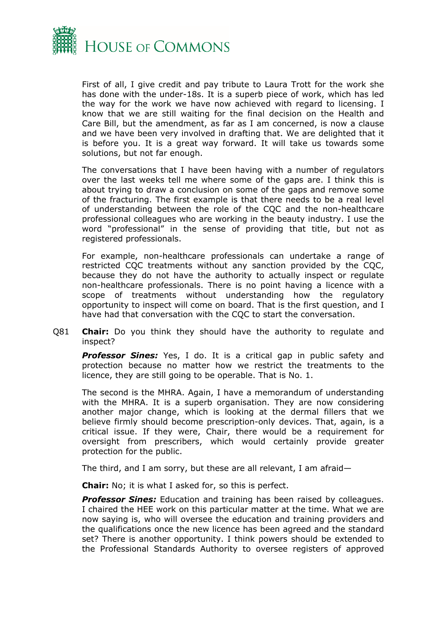

First of all, I give credit and pay tribute to Laura Trott for the work she has done with the under-18s. It is a superb piece of work, which has led the way for the work we have now achieved with regard to licensing. I know that we are still waiting for the final decision on the Health and Care Bill, but the amendment, as far as I am concerned, is now a clause and we have been very involved in drafting that. We are delighted that it is before you. It is a great way forward. It will take us towards some solutions, but not far enough.

The conversations that I have been having with a number of regulators over the last weeks tell me where some of the gaps are. I think this is about trying to draw a conclusion on some of the gaps and remove some of the fracturing. The first example is that there needs to be a real level of understanding between the role of the CQC and the non-healthcare professional colleagues who are working in the beauty industry. I use the word "professional" in the sense of providing that title, but not as registered professionals.

For example, non-healthcare professionals can undertake a range of restricted CQC treatments without any sanction provided by the CQC, because they do not have the authority to actually inspect or regulate non-healthcare professionals. There is no point having a licence with a scope of treatments without understanding how the regulatory opportunity to inspect will come on board. That is the first question, and I have had that conversation with the CQC to start the conversation.

Q81 **Chair:** Do you think they should have the authority to regulate and inspect?

**Professor Sines:** Yes, I do. It is a critical gap in public safety and protection because no matter how we restrict the treatments to the licence, they are still going to be operable. That is No. 1.

The second is the MHRA. Again, I have a memorandum of understanding with the MHRA. It is a superb organisation. They are now considering another major change, which is looking at the dermal fillers that we believe firmly should become prescription-only devices. That, again, is a critical issue. If they were, Chair, there would be a requirement for oversight from prescribers, which would certainly provide greater protection for the public.

The third, and I am sorry, but these are all relevant, I am afraid—

**Chair:** No; it is what I asked for, so this is perfect.

*Professor Sines:* Education and training has been raised by colleagues. I chaired the HEE work on this particular matter at the time. What we are now saying is, who will oversee the education and training providers and the qualifications once the new licence has been agreed and the standard set? There is another opportunity. I think powers should be extended to the Professional Standards Authority to oversee registers of approved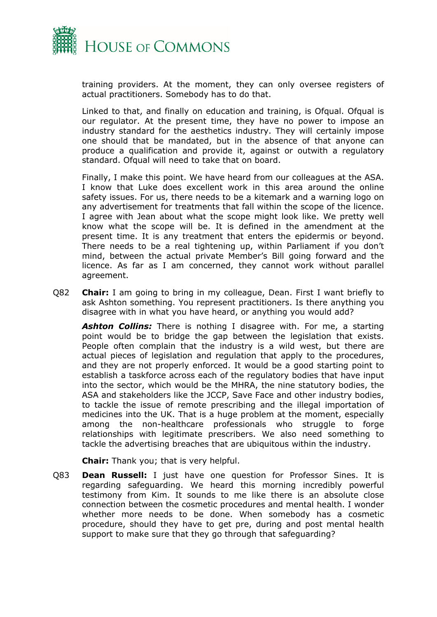

training providers. At the moment, they can only oversee registers of actual practitioners. Somebody has to do that.

Linked to that, and finally on education and training, is Ofqual. Ofqual is our regulator. At the present time, they have no power to impose an industry standard for the aesthetics industry. They will certainly impose one should that be mandated, but in the absence of that anyone can produce a qualification and provide it, against or outwith a regulatory standard. Ofqual will need to take that on board.

Finally, I make this point. We have heard from our colleagues at the ASA. I know that Luke does excellent work in this area around the online safety issues. For us, there needs to be a kitemark and a warning logo on any advertisement for treatments that fall within the scope of the licence. I agree with Jean about what the scope might look like. We pretty well know what the scope will be. It is defined in the amendment at the present time. It is any treatment that enters the epidermis or beyond. There needs to be a real tightening up, within Parliament if you don't mind, between the actual private Member's Bill going forward and the licence. As far as I am concerned, they cannot work without parallel agreement.

Q82 **Chair:** I am going to bring in my colleague, Dean. First I want briefly to ask Ashton something. You represent practitioners. Is there anything you disagree with in what you have heard, or anything you would add?

*Ashton Collins:* There is nothing I disagree with. For me, a starting point would be to bridge the gap between the legislation that exists. People often complain that the industry is a wild west, but there are actual pieces of legislation and regulation that apply to the procedures, and they are not properly enforced. It would be a good starting point to establish a taskforce across each of the regulatory bodies that have input into the sector, which would be the MHRA, the nine statutory bodies, the ASA and stakeholders like the JCCP, Save Face and other industry bodies, to tackle the issue of remote prescribing and the illegal importation of medicines into the UK. That is a huge problem at the moment, especially among the non-healthcare professionals who struggle to forge relationships with legitimate prescribers. We also need something to tackle the advertising breaches that are ubiquitous within the industry.

**Chair:** Thank you; that is very helpful.

Q83 **Dean Russell:** I just have one question for Professor Sines. It is regarding safeguarding. We heard this morning incredibly powerful testimony from Kim. It sounds to me like there is an absolute close connection between the cosmetic procedures and mental health. I wonder whether more needs to be done. When somebody has a cosmetic procedure, should they have to get pre, during and post mental health support to make sure that they go through that safeguarding?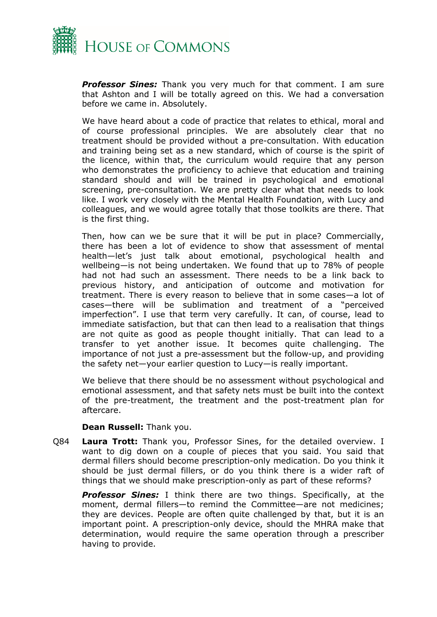

*Professor Sines:* Thank you very much for that comment. I am sure that Ashton and I will be totally agreed on this. We had a conversation before we came in. Absolutely.

We have heard about a code of practice that relates to ethical, moral and of course professional principles. We are absolutely clear that no treatment should be provided without a pre-consultation. With education and training being set as a new standard, which of course is the spirit of the licence, within that, the curriculum would require that any person who demonstrates the proficiency to achieve that education and training standard should and will be trained in psychological and emotional screening, pre-consultation. We are pretty clear what that needs to look like. I work very closely with the Mental Health Foundation, with Lucy and colleagues, and we would agree totally that those toolkits are there. That is the first thing.

Then, how can we be sure that it will be put in place? Commercially, there has been a lot of evidence to show that assessment of mental health—let's just talk about emotional, psychological health and wellbeing—is not being undertaken. We found that up to 78% of people had not had such an assessment. There needs to be a link back to previous history, and anticipation of outcome and motivation for treatment. There is every reason to believe that in some cases—a lot of cases—there will be sublimation and treatment of a "perceived imperfection". I use that term very carefully. It can, of course, lead to immediate satisfaction, but that can then lead to a realisation that things are not quite as good as people thought initially. That can lead to a transfer to yet another issue. It becomes quite challenging. The importance of not just a pre-assessment but the follow-up, and providing the safety net—your earlier question to Lucy—is really important.

We believe that there should be no assessment without psychological and emotional assessment, and that safety nets must be built into the context of the pre-treatment, the treatment and the post-treatment plan for aftercare.

#### **Dean Russell:** Thank you.

Q84 **Laura Trott:** Thank you, Professor Sines, for the detailed overview. I want to dig down on a couple of pieces that you said. You said that dermal fillers should become prescription-only medication. Do you think it should be just dermal fillers, or do you think there is a wider raft of things that we should make prescription-only as part of these reforms?

*Professor Sines:* I think there are two things. Specifically, at the moment, dermal fillers—to remind the Committee—are not medicines; they are devices. People are often quite challenged by that, but it is an important point. A prescription-only device, should the MHRA make that determination, would require the same operation through a prescriber having to provide.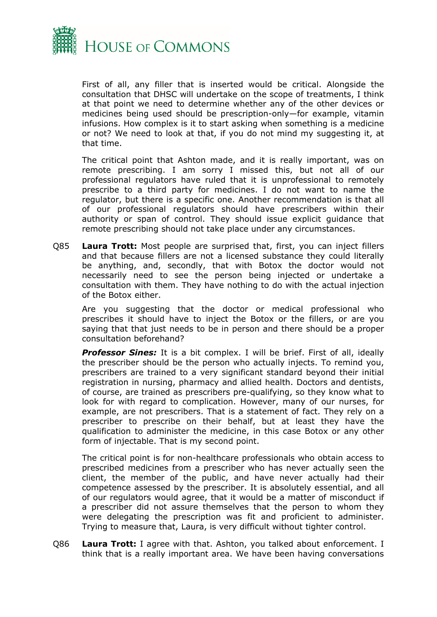

First of all, any filler that is inserted would be critical. Alongside the consultation that DHSC will undertake on the scope of treatments, I think at that point we need to determine whether any of the other devices or medicines being used should be prescription-only—for example, vitamin infusions. How complex is it to start asking when something is a medicine or not? We need to look at that, if you do not mind my suggesting it, at that time.

The critical point that Ashton made, and it is really important, was on remote prescribing. I am sorry I missed this, but not all of our professional regulators have ruled that it is unprofessional to remotely prescribe to a third party for medicines. I do not want to name the regulator, but there is a specific one. Another recommendation is that all of our professional regulators should have prescribers within their authority or span of control. They should issue explicit guidance that remote prescribing should not take place under any circumstances.

Q85 **Laura Trott:** Most people are surprised that, first, you can inject fillers and that because fillers are not a licensed substance they could literally be anything, and, secondly, that with Botox the doctor would not necessarily need to see the person being injected or undertake a consultation with them. They have nothing to do with the actual injection of the Botox either.

Are you suggesting that the doctor or medical professional who prescribes it should have to inject the Botox or the fillers, or are you saying that that just needs to be in person and there should be a proper consultation beforehand?

**Professor Sines:** It is a bit complex. I will be brief. First of all, ideally the prescriber should be the person who actually injects. To remind you, prescribers are trained to a very significant standard beyond their initial registration in nursing, pharmacy and allied health. Doctors and dentists, of course, are trained as prescribers pre-qualifying, so they know what to look for with regard to complication. However, many of our nurses, for example, are not prescribers. That is a statement of fact. They rely on a prescriber to prescribe on their behalf, but at least they have the qualification to administer the medicine, in this case Botox or any other form of injectable. That is my second point.

The critical point is for non-healthcare professionals who obtain access to prescribed medicines from a prescriber who has never actually seen the client, the member of the public, and have never actually had their competence assessed by the prescriber. It is absolutely essential, and all of our regulators would agree, that it would be a matter of misconduct if a prescriber did not assure themselves that the person to whom they were delegating the prescription was fit and proficient to administer. Trying to measure that, Laura, is very difficult without tighter control.

Q86 **Laura Trott:** I agree with that. Ashton, you talked about enforcement. I think that is a really important area. We have been having conversations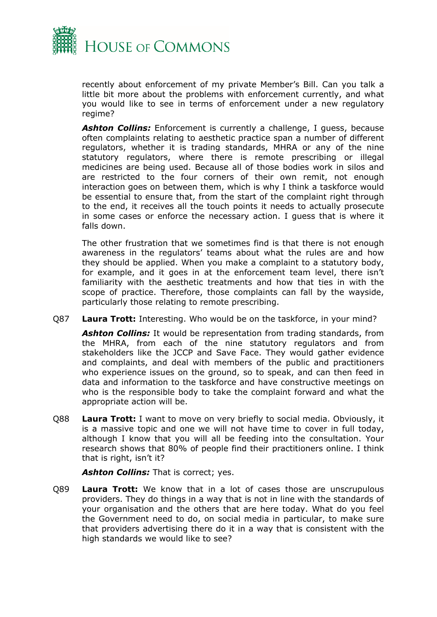

recently about enforcement of my private Member's Bill. Can you talk a little bit more about the problems with enforcement currently, and what you would like to see in terms of enforcement under a new regulatory regime?

*Ashton Collins:* Enforcement is currently a challenge, I guess, because often complaints relating to aesthetic practice span a number of different regulators, whether it is trading standards, MHRA or any of the nine statutory regulators, where there is remote prescribing or illegal medicines are being used. Because all of those bodies work in silos and are restricted to the four corners of their own remit, not enough interaction goes on between them, which is why I think a taskforce would be essential to ensure that, from the start of the complaint right through to the end, it receives all the touch points it needs to actually prosecute in some cases or enforce the necessary action. I guess that is where it falls down.

The other frustration that we sometimes find is that there is not enough awareness in the regulators' teams about what the rules are and how they should be applied. When you make a complaint to a statutory body, for example, and it goes in at the enforcement team level, there isn't familiarity with the aesthetic treatments and how that ties in with the scope of practice. Therefore, those complaints can fall by the wayside, particularly those relating to remote prescribing.

Q87 **Laura Trott:** Interesting. Who would be on the taskforce, in your mind?

*Ashton Collins:* It would be representation from trading standards, from the MHRA, from each of the nine statutory regulators and from stakeholders like the JCCP and Save Face. They would gather evidence and complaints, and deal with members of the public and practitioners who experience issues on the ground, so to speak, and can then feed in data and information to the taskforce and have constructive meetings on who is the responsible body to take the complaint forward and what the appropriate action will be.

Q88 **Laura Trott:** I want to move on very briefly to social media. Obviously, it is a massive topic and one we will not have time to cover in full today, although I know that you will all be feeding into the consultation. Your research shows that 80% of people find their practitioners online. I think that is right, isn't it?

*Ashton Collins:* That is correct; yes.

Q89 **Laura Trott:** We know that in a lot of cases those are unscrupulous providers. They do things in a way that is not in line with the standards of your organisation and the others that are here today. What do you feel the Government need to do, on social media in particular, to make sure that providers advertising there do it in a way that is consistent with the high standards we would like to see?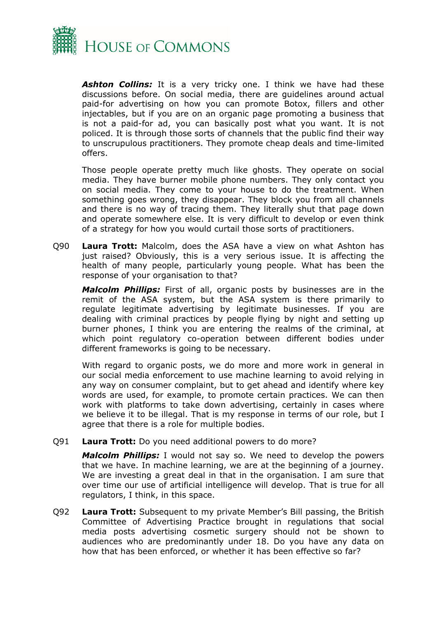

*Ashton Collins:* It is a very tricky one. I think we have had these discussions before. On social media, there are guidelines around actual paid-for advertising on how you can promote Botox, fillers and other injectables, but if you are on an organic page promoting a business that is not a paid-for ad, you can basically post what you want. It is not policed. It is through those sorts of channels that the public find their way to unscrupulous practitioners. They promote cheap deals and time-limited offers.

Those people operate pretty much like ghosts. They operate on social media. They have burner mobile phone numbers. They only contact you on social media. They come to your house to do the treatment. When something goes wrong, they disappear. They block you from all channels and there is no way of tracing them. They literally shut that page down and operate somewhere else. It is very difficult to develop or even think of a strategy for how you would curtail those sorts of practitioners.

Q90 **Laura Trott:** Malcolm, does the ASA have a view on what Ashton has just raised? Obviously, this is a very serious issue. It is affecting the health of many people, particularly young people. What has been the response of your organisation to that?

*Malcolm Phillips:* First of all, organic posts by businesses are in the remit of the ASA system, but the ASA system is there primarily to regulate legitimate advertising by legitimate businesses. If you are dealing with criminal practices by people flying by night and setting up burner phones, I think you are entering the realms of the criminal, at which point regulatory co-operation between different bodies under different frameworks is going to be necessary.

With regard to organic posts, we do more and more work in general in our social media enforcement to use machine learning to avoid relying in any way on consumer complaint, but to get ahead and identify where key words are used, for example, to promote certain practices. We can then work with platforms to take down advertising, certainly in cases where we believe it to be illegal. That is my response in terms of our role, but I agree that there is a role for multiple bodies.

Q91 **Laura Trott:** Do you need additional powers to do more?

*Malcolm Phillips:* I would not say so. We need to develop the powers that we have. In machine learning, we are at the beginning of a journey. We are investing a great deal in that in the organisation. I am sure that over time our use of artificial intelligence will develop. That is true for all regulators, I think, in this space.

Q92 **Laura Trott:** Subsequent to my private Member's Bill passing, the British Committee of Advertising Practice brought in regulations that social media posts advertising cosmetic surgery should not be shown to audiences who are predominantly under 18. Do you have any data on how that has been enforced, or whether it has been effective so far?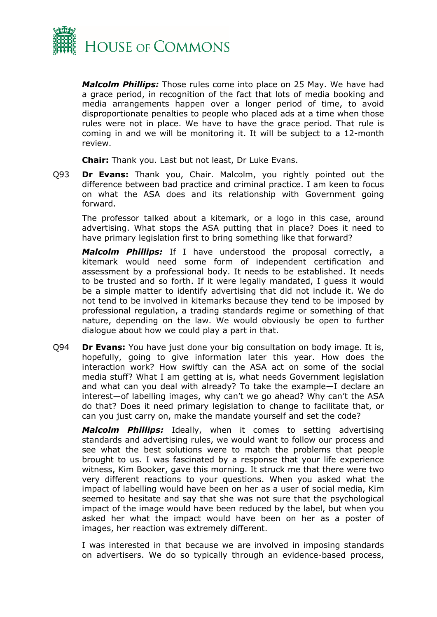

*Malcolm Phillips:* Those rules come into place on 25 May. We have had a grace period, in recognition of the fact that lots of media booking and media arrangements happen over a longer period of time, to avoid disproportionate penalties to people who placed ads at a time when those rules were not in place. We have to have the grace period. That rule is coming in and we will be monitoring it. It will be subject to a 12-month review.

**Chair:** Thank you. Last but not least, Dr Luke Evans.

Q93 **Dr Evans:** Thank you, Chair. Malcolm, you rightly pointed out the difference between bad practice and criminal practice. I am keen to focus on what the ASA does and its relationship with Government going forward.

The professor talked about a kitemark, or a logo in this case, around advertising. What stops the ASA putting that in place? Does it need to have primary legislation first to bring something like that forward?

*Malcolm Phillips:* If I have understood the proposal correctly, a kitemark would need some form of independent certification and assessment by a professional body. It needs to be established. It needs to be trusted and so forth. If it were legally mandated, I guess it would be a simple matter to identify advertising that did not include it. We do not tend to be involved in kitemarks because they tend to be imposed by professional regulation, a trading standards regime or something of that nature, depending on the law. We would obviously be open to further dialogue about how we could play a part in that.

Q94 **Dr Evans:** You have just done your big consultation on body image. It is, hopefully, going to give information later this year. How does the interaction work? How swiftly can the ASA act on some of the social media stuff? What I am getting at is, what needs Government legislation and what can you deal with already? To take the example—I declare an interest—of labelling images, why can't we go ahead? Why can't the ASA do that? Does it need primary legislation to change to facilitate that, or can you just carry on, make the mandate yourself and set the code?

*Malcolm Phillips:* Ideally, when it comes to setting advertising standards and advertising rules, we would want to follow our process and see what the best solutions were to match the problems that people brought to us. I was fascinated by a response that your life experience witness, Kim Booker, gave this morning. It struck me that there were two very different reactions to your questions. When you asked what the impact of labelling would have been on her as a user of social media, Kim seemed to hesitate and say that she was not sure that the psychological impact of the image would have been reduced by the label, but when you asked her what the impact would have been on her as a poster of images, her reaction was extremely different.

I was interested in that because we are involved in imposing standards on advertisers. We do so typically through an evidence-based process,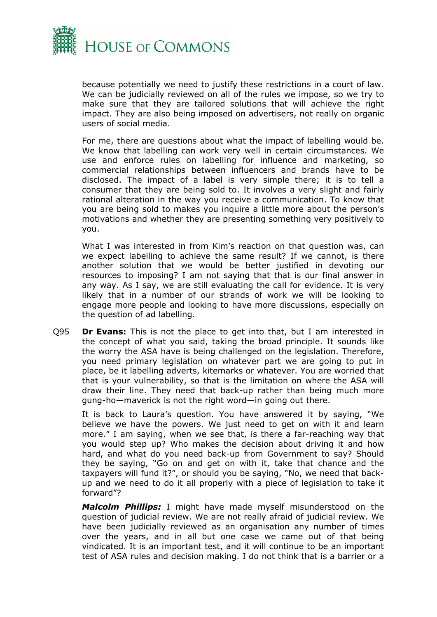

because potentially we need to justify these restrictions in a court of law. We can be judicially reviewed on all of the rules we impose, so we try to make sure that they are tailored solutions that will achieve the right impact. They are also being imposed on advertisers, not really on organic users of social media.

For me, there are questions about what the impact of labelling would be. We know that labelling can work very well in certain circumstances. We use and enforce rules on labelling for influence and marketing, so commercial relationships between influencers and brands have to be disclosed. The impact of a label is very simple there; it is to tell a consumer that they are being sold to. It involves a very slight and fairly rational alteration in the way you receive a communication. To know that you are being sold to makes you inquire a little more about the person's motivations and whether they are presenting something very positively to you.

What I was interested in from Kim's reaction on that question was, can we expect labelling to achieve the same result? If we cannot, is there another solution that we would be better justified in devoting our resources to imposing? I am not saying that that is our final answer in any way. As I say, we are still evaluating the call for evidence. It is very likely that in a number of our strands of work we will be looking to engage more people and looking to have more discussions, especially on the question of ad labelling.

Q95 **Dr Evans:** This is not the place to get into that, but I am interested in the concept of what you said, taking the broad principle. It sounds like the worry the ASA have is being challenged on the legislation. Therefore, you need primary legislation on whatever part we are going to put in place, be it labelling adverts, kitemarks or whatever. You are worried that that is your vulnerability, so that is the limitation on where the ASA will draw their line. They need that back-up rather than being much more gung-ho—maverick is not the right word—in going out there.

It is back to Laura's question. You have answered it by saying, "We believe we have the powers. We just need to get on with it and learn more." I am saying, when we see that, is there a far-reaching way that you would step up? Who makes the decision about driving it and how hard, and what do you need back-up from Government to say? Should they be saying, "Go on and get on with it, take that chance and the taxpayers will fund it?", or should you be saying, "No, we need that backup and we need to do it all properly with a piece of legislation to take it forward"?

*Malcolm Phillips:* I might have made myself misunderstood on the question of judicial review. We are not really afraid of judicial review. We have been judicially reviewed as an organisation any number of times over the years, and in all but one case we came out of that being vindicated. It is an important test, and it will continue to be an important test of ASA rules and decision making. I do not think that is a barrier or a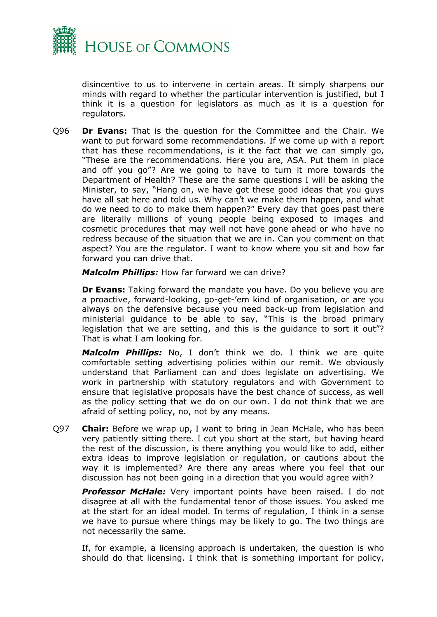

disincentive to us to intervene in certain areas. It simply sharpens our minds with regard to whether the particular intervention is justified, but I think it is a question for legislators as much as it is a question for regulators.

Q96 **Dr Evans:** That is the question for the Committee and the Chair. We want to put forward some recommendations. If we come up with a report that has these recommendations, is it the fact that we can simply go, "These are the recommendations. Here you are, ASA. Put them in place and off you go"? Are we going to have to turn it more towards the Department of Health? These are the same questions I will be asking the Minister, to say, "Hang on, we have got these good ideas that you guys have all sat here and told us. Why can't we make them happen, and what do we need to do to make them happen?" Every day that goes past there are literally millions of young people being exposed to images and cosmetic procedures that may well not have gone ahead or who have no redress because of the situation that we are in. Can you comment on that aspect? You are the regulator. I want to know where you sit and how far forward you can drive that.

*Malcolm Phillips:* How far forward we can drive?

**Dr Evans:** Taking forward the mandate you have. Do you believe you are a proactive, forward-looking, go-get-'em kind of organisation, or are you always on the defensive because you need back-up from legislation and ministerial guidance to be able to say, "This is the broad primary legislation that we are setting, and this is the guidance to sort it out"? That is what I am looking for.

*Malcolm Phillips:* No, I don't think we do. I think we are quite comfortable setting advertising policies within our remit. We obviously understand that Parliament can and does legislate on advertising. We work in partnership with statutory regulators and with Government to ensure that legislative proposals have the best chance of success, as well as the policy setting that we do on our own. I do not think that we are afraid of setting policy, no, not by any means.

Q97 **Chair:** Before we wrap up, I want to bring in Jean McHale, who has been very patiently sitting there. I cut you short at the start, but having heard the rest of the discussion, is there anything you would like to add, either extra ideas to improve legislation or regulation, or cautions about the way it is implemented? Are there any areas where you feel that our discussion has not been going in a direction that you would agree with?

**Professor McHale:** Very important points have been raised. I do not disagree at all with the fundamental tenor of those issues. You asked me at the start for an ideal model. In terms of regulation, I think in a sense we have to pursue where things may be likely to go. The two things are not necessarily the same.

If, for example, a licensing approach is undertaken, the question is who should do that licensing. I think that is something important for policy,